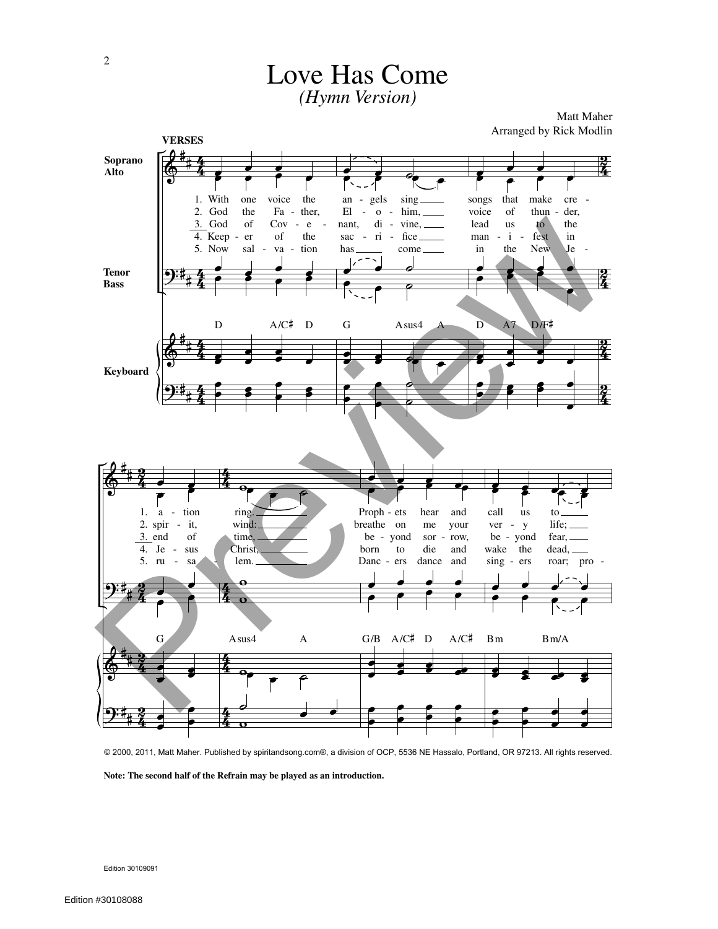

Love Has Come

© 2000, 2011, Matt Maher. Published by spiritandsong.com®, a division of OCP, 5536 NE Hassalo, Portland, OR 97213. All rights reserved.

**Note: The second half of the Refrain may be played as an introduction.**

Edition 30109091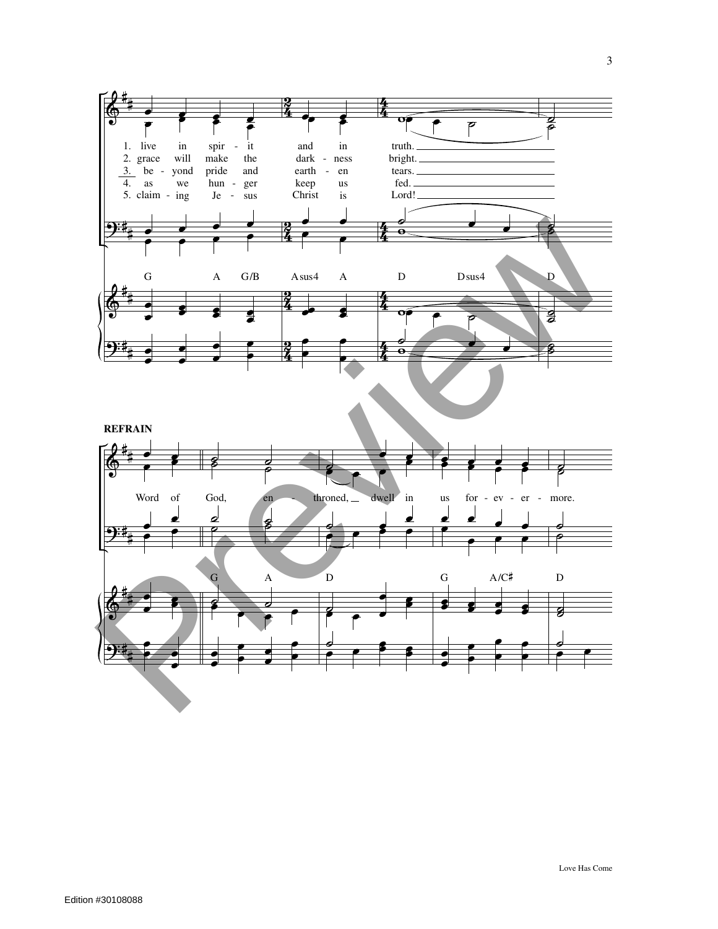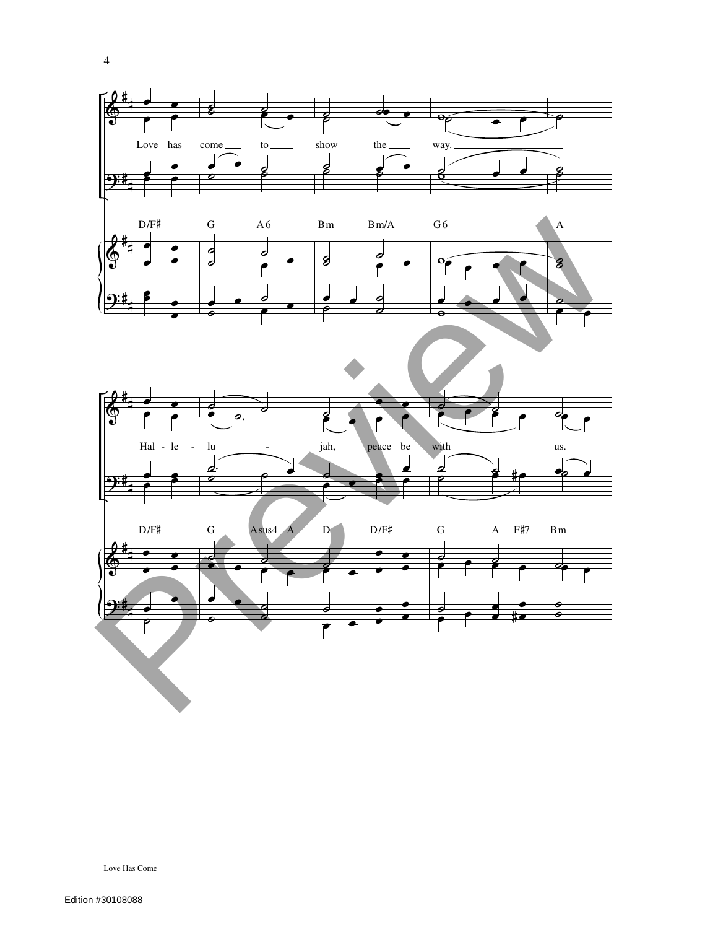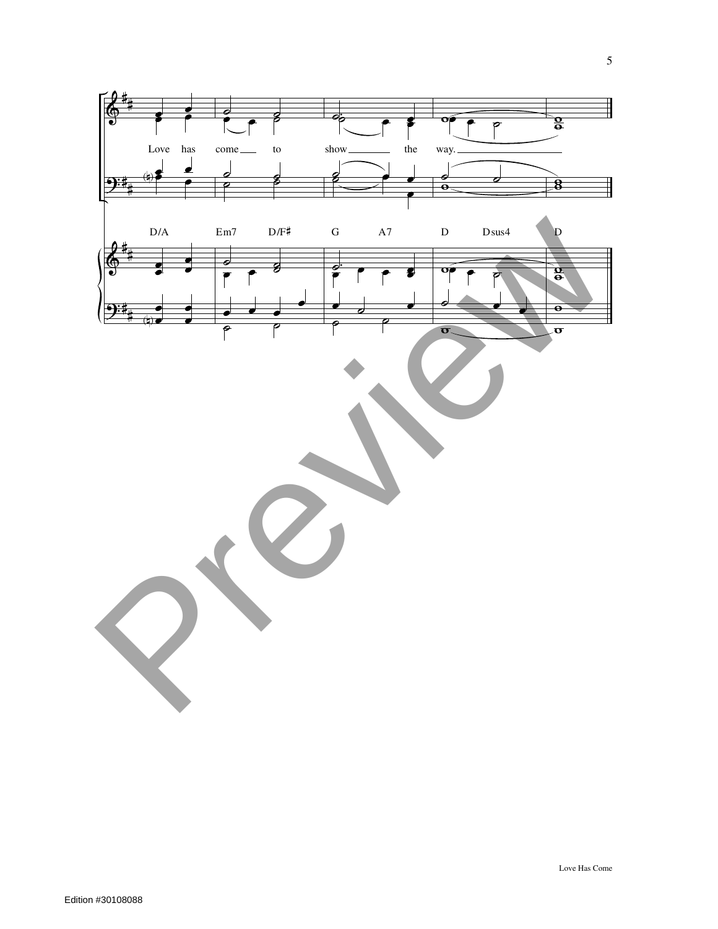

Love Has Come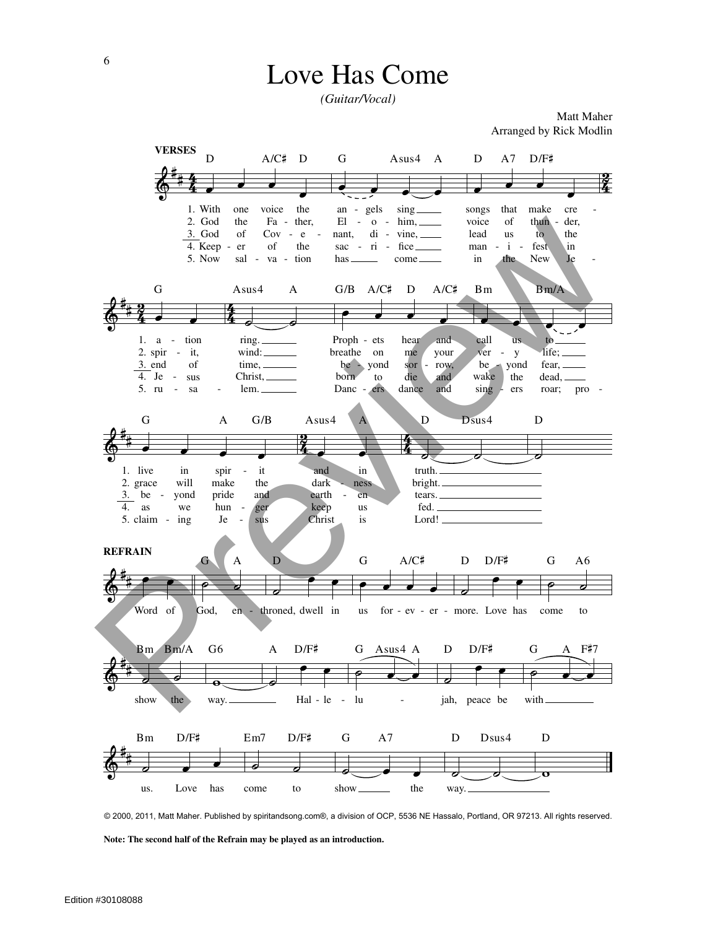## **Love Has Come**

(Guitar/Vocal)

Matt Maher Arranged by Rick Modlin



© 2000, 2011, Matt Maher. Published by spiritandsong.com®, a division of OCP, 5536 NE Hassalo, Portland, OR 97213. All rights reserved.

Note: The second half of the Refrain may be played as an introduction.